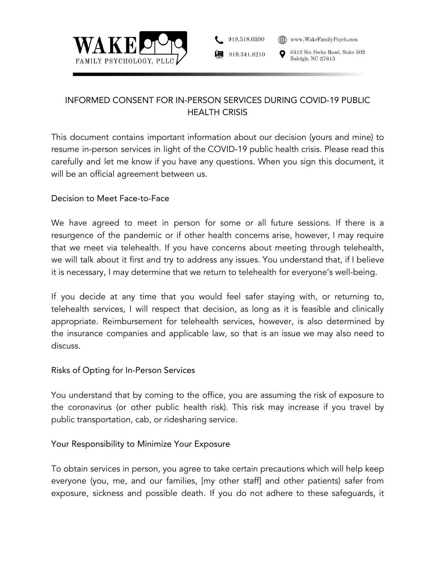



6512 Six Forks Road, Suite 302 Raleigh, NC 27615

# INFORMED CONSENT FOR IN-PERSON SERVICES DURING COVID-19 PUBLIC HEALTH CRISIS

This document contains important information about our decision (yours and mine) to resume in-person services in light of the COVID-19 public health crisis. Please read this carefully and let me know if you have any questions. When you sign this document, it will be an official agreement between us.

#### Decision to Meet Face-to-Face

We have agreed to meet in person for some or all future sessions. If there is a resurgence of the pandemic or if other health concerns arise, however, I may require that we meet via telehealth. If you have concerns about meeting through telehealth, we will talk about it first and try to address any issues. You understand that, if I believe it is necessary, I may determine that we return to telehealth for everyone's well-being.

If you decide at any time that you would feel safer staying with, or returning to, telehealth services, I will respect that decision, as long as it is feasible and clinically appropriate. Reimbursement for telehealth services, however, is also determined by the insurance companies and applicable law, so that is an issue we may also need to discuss.

#### Risks of Opting for In-Person Services

You understand that by coming to the office, you are assuming the risk of exposure to the coronavirus (or other public health risk). This risk may increase if you travel by public transportation, cab, or ridesharing service.

# Your Responsibility to Minimize Your Exposure

To obtain services in person, you agree to take certain precautions which will help keep everyone (you, me, and our families, [my other staff] and other patients) safer from exposure, sickness and possible death. If you do not adhere to these safeguards, it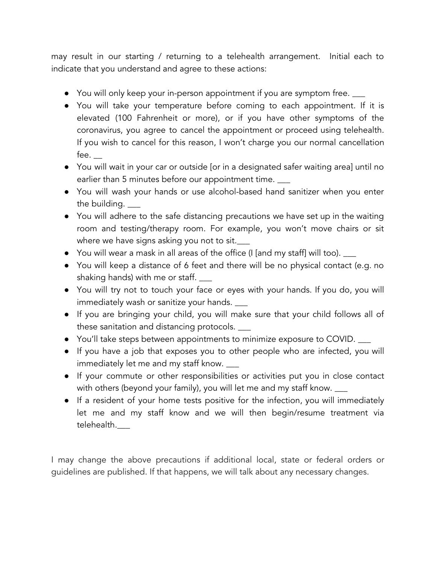may result in our starting / returning to a telehealth arrangement. Initial each to indicate that you understand and agree to these actions:

- You will only keep your in-person appointment if you are symptom free.  $\rule{1em}{0.15mm}$
- You will take your temperature before coming to each appointment. If it is elevated (100 Fahrenheit or more), or if you have other symptoms of the coronavirus, you agree to cancel the appointment or proceed using telehealth. If you wish to cancel for this reason, I won't charge you our normal cancellation fee. \_\_
- You will wait in your car or outside [or in a designated safer waiting area] until no earlier than 5 minutes before our appointment time.
- You will wash your hands or use alcohol-based hand sanitizer when you enter the building.
- You will adhere to the safe distancing precautions we have set up in the waiting room and testing/therapy room. For example, you won't move chairs or sit where we have signs asking you not to sit.
- You will wear a mask in all areas of the office (I [and my staff] will too).  $\_\_$
- You will keep a distance of 6 feet and there will be no physical contact (e.g. no shaking hands) with me or staff. \_\_\_
- You will try not to touch your face or eyes with your hands. If you do, you will immediately wash or sanitize your hands. \_\_\_
- If you are bringing your child, you will make sure that your child follows all of these sanitation and distancing protocols. \_\_\_
- You'll take steps between appointments to minimize exposure to COVID. \_\_\_
- If you have a job that exposes you to other people who are infected, you will immediately let me and my staff know. \_\_\_
- If your commute or other responsibilities or activities put you in close contact with others (beyond your family), you will let me and my staff know. \_\_\_\_
- If a resident of your home tests positive for the infection, you will immediately let me and my staff know and we will then begin/resume treatment via telehealth.\_\_\_

I may change the above precautions if additional local, state or federal orders or guidelines are published. If that happens, we will talk about any necessary changes.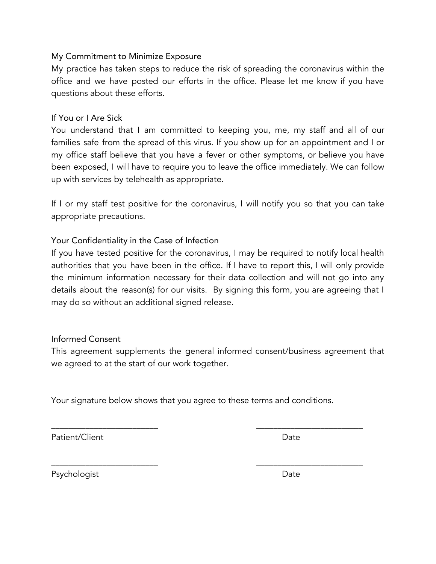#### My Commitment to Minimize Exposure

My practice has taken steps to reduce the risk of spreading the coronavirus within the office and we have posted our efforts in the office. Please let me know if you have questions about these efforts.

### If You or I Are Sick

You understand that I am committed to keeping you, me, my staff and all of our families safe from the spread of this virus. If you show up for an appointment and I or my office staff believe that you have a fever or other symptoms, or believe you have been exposed, I will have to require you to leave the office immediately. We can follow up with services by telehealth as appropriate.

If I or my staff test positive for the coronavirus, I will notify you so that you can take appropriate precautions.

# Your Confidentiality in the Case of Infection

If you have tested positive for the coronavirus, I may be required to notify local health authorities that you have been in the office. If I have to report this, I will only provide the minimum information necessary for their data collection and will not go into any details about the reason(s) for our visits. By signing this form, you are agreeing that I may do so without an additional signed release.

# Informed Consent

This agreement supplements the general informed consent/business agreement that we agreed to at the start of our work together.

Your signature below shows that you agree to these terms and conditions.

\_\_\_\_\_\_\_\_\_\_\_\_\_\_\_\_\_\_\_\_\_\_\_\_\_ \_\_\_\_\_\_\_\_\_\_\_\_\_\_\_\_\_\_\_\_\_\_\_\_\_

\_\_\_\_\_\_\_\_\_\_\_\_\_\_\_\_\_\_\_\_\_\_\_\_\_ \_\_\_\_\_\_\_\_\_\_\_\_\_\_\_\_\_\_\_\_\_\_\_\_\_

Patient/Client Date

Psychologist Date Date